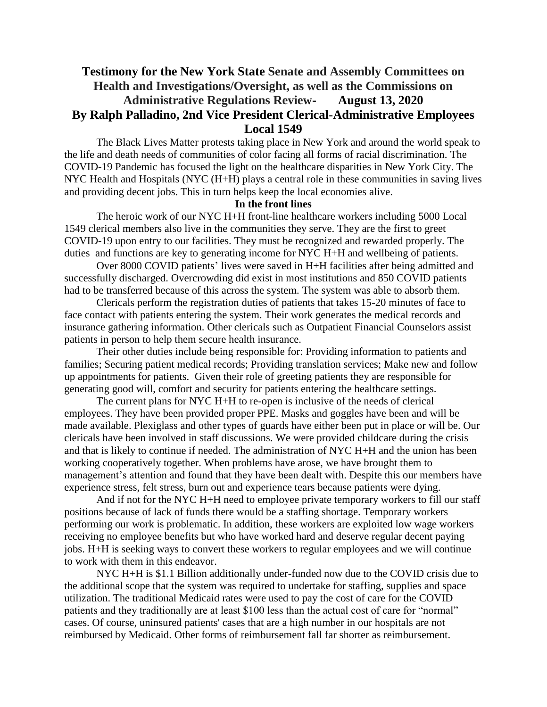## **Testimony for the New York State Senate and Assembly Committees on Health and Investigations/Oversight, as well as the Commissions on Administrative Regulations Review- August 13, 2020 By Ralph Palladino, 2nd Vice President Clerical-Administrative Employees Local 1549**

The Black Lives Matter protests taking place in New York and around the world speak to the life and death needs of communities of color facing all forms of racial discrimination. The COVID-19 Pandemic has focused the light on the healthcare disparities in New York City. The NYC Health and Hospitals (NYC (H+H) plays a central role in these communities in saving lives and providing decent jobs. This in turn helps keep the local economies alive.

#### **In the front lines**

The heroic work of our NYC H+H front-line healthcare workers including 5000 Local 1549 clerical members also live in the communities they serve. They are the first to greet COVID-19 upon entry to our facilities. They must be recognized and rewarded properly. The duties and functions are key to generating income for NYC H+H and wellbeing of patients.

Over 8000 COVID patients' lives were saved in H+H facilities after being admitted and successfully discharged. Overcrowding did exist in most institutions and 850 COVID patients had to be transferred because of this across the system. The system was able to absorb them.

Clericals perform the registration duties of patients that takes 15-20 minutes of face to face contact with patients entering the system. Their work generates the medical records and insurance gathering information. Other clericals such as Outpatient Financial Counselors assist patients in person to help them secure health insurance.

Their other duties include being responsible for: Providing information to patients and families; Securing patient medical records; Providing translation services; Make new and follow up appointments for patients. Given their role of greeting patients they are responsible for generating good will, comfort and security for patients entering the healthcare settings.

The current plans for NYC H+H to re-open is inclusive of the needs of clerical employees. They have been provided proper PPE. Masks and goggles have been and will be made available. Plexiglass and other types of guards have either been put in place or will be. Our clericals have been involved in staff discussions. We were provided childcare during the crisis and that is likely to continue if needed. The administration of NYC H+H and the union has been working cooperatively together. When problems have arose, we have brought them to management's attention and found that they have been dealt with. Despite this our members have experience stress, felt stress, burn out and experience tears because patients were dying.

And if not for the NYC H+H need to employee private temporary workers to fill our staff positions because of lack of funds there would be a staffing shortage. Temporary workers performing our work is problematic. In addition, these workers are exploited low wage workers receiving no employee benefits but who have worked hard and deserve regular decent paying jobs. H+H is seeking ways to convert these workers to regular employees and we will continue to work with them in this endeavor.

NYC H+H is \$1.1 Billion additionally under-funded now due to the COVID crisis due to the additional scope that the system was required to undertake for staffing, supplies and space utilization. The traditional Medicaid rates were used to pay the cost of care for the COVID patients and they traditionally are at least \$100 less than the actual cost of care for "normal" cases. Of course, uninsured patients' cases that are a high number in our hospitals are not reimbursed by Medicaid. Other forms of reimbursement fall far shorter as reimbursement.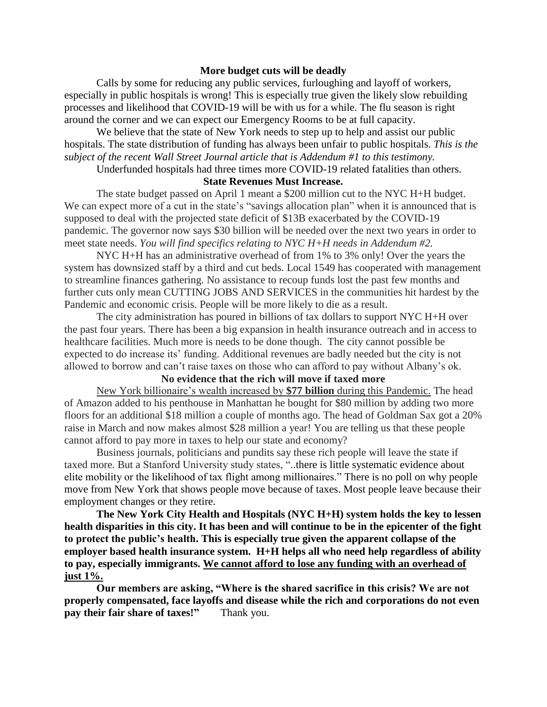#### **More budget cuts will be deadly**

Calls by some for reducing any public services, furloughing and layoff of workers, especially in public hospitals is wrong! This is especially true given the likely slow rebuilding processes and likelihood that COVID-19 will be with us for a while. The flu season is right around the corner and we can expect our Emergency Rooms to be at full capacity.

We believe that the state of New York needs to step up to help and assist our public hospitals. The state distribution of funding has always been unfair to public hospitals. *This is the subject of the recent Wall Street Journal article that is Addendum #1 to this testimony.* 

Underfunded hospitals had three times more COVID-19 related fatalities than others.

#### **State Revenues Must Increase.**

The state budget passed on April 1 meant a \$200 million cut to the NYC H+H budget. We can expect more of a cut in the state's "savings allocation plan" when it is announced that is supposed to deal with the projected state deficit of \$13B exacerbated by the COVID-19 pandemic. The governor now says \$30 billion will be needed over the next two years in order to meet state needs. *You will find specifics relating to NYC H+H needs in Addendum #2.* 

NYC H+H has an administrative overhead of from 1% to 3% only! Over the years the system has downsized staff by a third and cut beds. Local 1549 has cooperated with management to streamline finances gathering. No assistance to recoup funds lost the past few months and further cuts only mean CUTTING JOBS AND SERVICES in the communities hit hardest by the Pandemic and economic crisis. People will be more likely to die as a result.

The city administration has poured in billions of tax dollars to support NYC H+H over the past four years. There has been a big expansion in health insurance outreach and in access to healthcare facilities. Much more is needs to be done though. The city cannot possible be expected to do increase its' funding. Additional revenues are badly needed but the city is not allowed to borrow and can't raise taxes on those who can afford to pay without Albany's ok.

#### **No evidence that the rich will move if taxed more**

New York billionaire's wealth increased by **\$77 billion** during this Pandemic. The head of Amazon added to his penthouse in Manhattan he bought for \$80 million by adding two more floors for an additional \$18 million a couple of months ago. The head of Goldman Sax got a 20% raise in March and now makes almost \$28 million a year! You are telling us that these people cannot afford to pay more in taxes to help our state and economy?

Business journals, politicians and pundits say these rich people will leave the state if taxed more. But a Stanford University study states, "..there is little systematic evidence about elite mobility or the likelihood of tax flight among millionaires." There is no poll on why people move from New York that shows people move because of taxes. Most people leave because their employment changes or they retire.

**The New York City Health and Hospitals (NYC H+H) system holds the key to lessen health disparities in this city. It has been and will continue to be in the epicenter of the fight to protect the public's health. This is especially true given the apparent collapse of the employer based health insurance system. H+H helps all who need help regardless of ability to pay, especially immigrants. We cannot afford to lose any funding with an overhead of just 1%.**

**Our members are asking, "Where is the shared sacrifice in this crisis? We are not properly compensated, face layoffs and disease while the rich and corporations do not even pay their fair share of taxes!"** Thank you.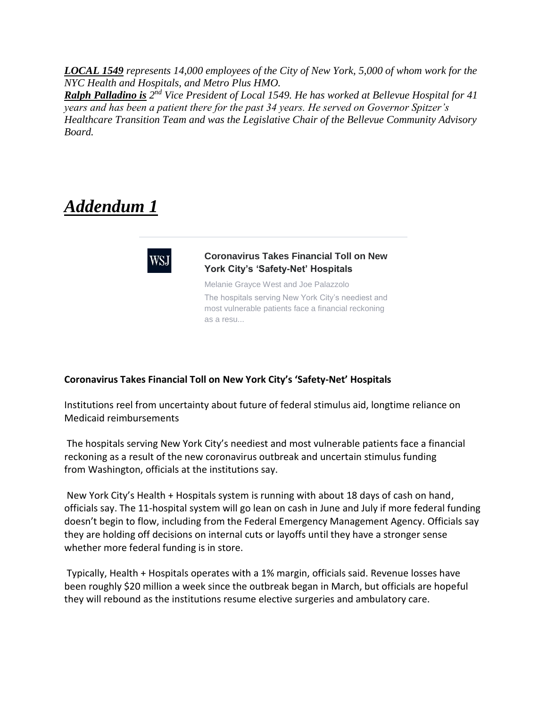*LOCAL 1549 represents 14,000 employees of the City of New York, 5,000 of whom work for the NYC Health and Hospitals, and Metro Plus HMO.*

**Ralph Palladino is** 2<sup>nd</sup> Vice President of Local 1549. He has worked at Bellevue Hospital for 41 *years and has been a patient there for the past 34 years. He served on Governor Spitzer's Healthcare Transition Team and was the Legislative Chair of the Bellevue Community Advisory Board.* 

# *Addendum 1*



#### **Coronavirus Takes Financial Toll on New York City's 'Safety-Net' Hospitals**

Melanie Grayce West and Joe Palazzolo The hospitals serving New York City's neediest and most vulnerable patients face a financial reckoning as a resu...

#### **Coronavirus Takes Financial Toll on New York City's 'Safety-Net' Hospitals**

Institutions reel from uncertainty about future of federal stimulus aid, longtime reliance on Medicaid reimbursements

The hospitals serving New York City's neediest and most vulnerable patients face a financial reckoning as a result of the new coronavirus outbreak and uncertain stimulus funding from Washington, officials at the institutions say.

New York City's Health + Hospitals system is running with about 18 days of cash on hand, officials say. The 11-hospital system will go lean on cash in June and July if more federal funding doesn't begin to flow, including from the Federal Emergency Management Agency. Officials say they are holding off decisions on internal cuts or layoffs until they have a stronger sense whether more federal funding is in store.

Typically, Health + Hospitals operates with a 1% margin, officials said. Revenue losses have been roughly \$20 million a week since the outbreak began in March, but officials are hopeful they will rebound as the institutions resume elective surgeries and ambulatory care.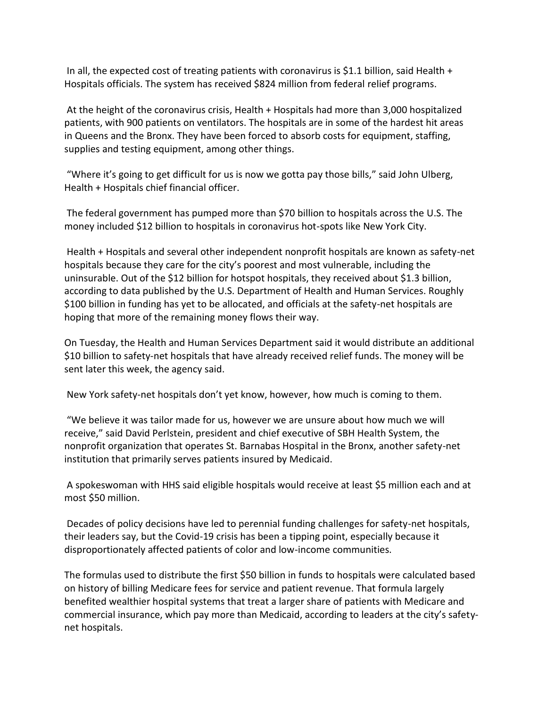In all, the expected cost of treating patients with coronavirus is \$1.1 billion, said Health  $+$ Hospitals officials. The system has received \$824 million from federal relief programs.

At the height of the coronavirus crisis, Health + Hospitals had more than 3,000 hospitalized patients, with 900 patients on ventilators. The hospitals are in some of the hardest hit areas in Queens and the Bronx. They have been forced to absorb costs for equipment, staffing, supplies and testing equipment, among other things.

"Where it's going to get difficult for us is now we gotta pay those bills," said John Ulberg, Health + Hospitals chief financial officer.

The federal government has pumped more than \$70 billion to hospitals across the U.S. The money included \$12 billion to hospitals in coronavirus hot-spots like New York City.

Health + Hospitals and several other independent nonprofit hospitals are known as safety-net hospitals because they care for the city's poorest and most vulnerable, including the uninsurable. Out of the \$12 billion for hotspot hospitals, they received about \$1.3 billion, according to data published by the U.S. Department of Health and Human Services. Roughly \$100 billion in funding has yet to be allocated, and officials at the safety-net hospitals are hoping that more of the remaining money flows their way.

On Tuesday, the Health and Human Services Department said it would distribute an additional \$10 billion to safety-net hospitals that have already received relief funds. The money will be sent later this week, the agency said.

New York safety-net hospitals don't yet know, however, how much is coming to them.

"We believe it was tailor made for us, however we are unsure about how much we will receive," said David Perlstein, president and chief executive of SBH Health System, the nonprofit organization that operates St. Barnabas Hospital in the Bronx, another safety-net institution that primarily serves patients insured by Medicaid.

A spokeswoman with HHS said eligible hospitals would receive at least \$5 million each and at most \$50 million.

Decades of policy decisions have led to perennial funding challenges for safety-net hospitals, their leaders say, but the Covid-19 crisis has been a tipping point, especially because it disproportionately affected patients of color and low-income communities.

The formulas used to distribute the first \$50 billion in funds to hospitals were calculated based on history of billing Medicare fees for service and patient revenue. That formula largely benefited wealthier hospital systems that treat a larger share of patients with Medicare and commercial insurance, which pay more than Medicaid, according to leaders at the city's safetynet hospitals.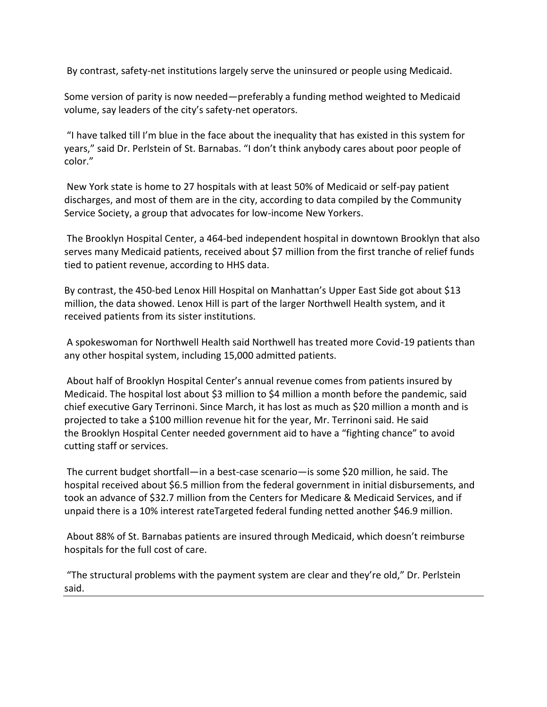By contrast, safety-net institutions largely serve the uninsured or people using Medicaid.

Some version of parity is now needed—preferably a funding method weighted to Medicaid volume, say leaders of the city's safety-net operators.

"I have talked till I'm blue in the face about the inequality that has existed in this system for years," said Dr. Perlstein of St. Barnabas. "I don't think anybody cares about poor people of color."

New York state is home to 27 hospitals with at least 50% of Medicaid or self-pay patient discharges, and most of them are in the city, according to data compiled by the Community Service Society, a group that advocates for low-income New Yorkers.

The Brooklyn Hospital Center, a 464-bed independent hospital in downtown Brooklyn that also serves many Medicaid patients, received about \$7 million from the first tranche of relief funds tied to patient revenue, according to HHS data.

By contrast, the 450-bed Lenox Hill Hospital on Manhattan's Upper East Side got about \$13 million, the data showed. Lenox Hill is part of the larger Northwell Health system, and it received patients from its sister institutions.

A spokeswoman for Northwell Health said Northwell has treated more Covid-19 patients than any other hospital system, including 15,000 admitted patients.

About half of Brooklyn Hospital Center's annual revenue comes from patients insured by Medicaid. The hospital lost about \$3 million to \$4 million a month before the pandemic, said chief executive Gary Terrinoni. Since March, it has lost as much as \$20 million a month and is projected to take a \$100 million revenue hit for the year, Mr. Terrinoni said. He said the Brooklyn Hospital Center needed government aid to have a "fighting chance" to avoid cutting staff or services.

The current budget shortfall—in a best-case scenario—is some \$20 million, he said. The hospital received about \$6.5 million from the federal government in initial disbursements, and took an advance of \$32.7 million from the Centers for Medicare & Medicaid Services, and if unpaid there is a 10% interest rateTargeted federal funding netted another \$46.9 million.

About 88% of St. Barnabas patients are insured through Medicaid, which doesn't reimburse hospitals for the full cost of care.

"The structural problems with the payment system are clear and they're old," Dr. Perlstein said.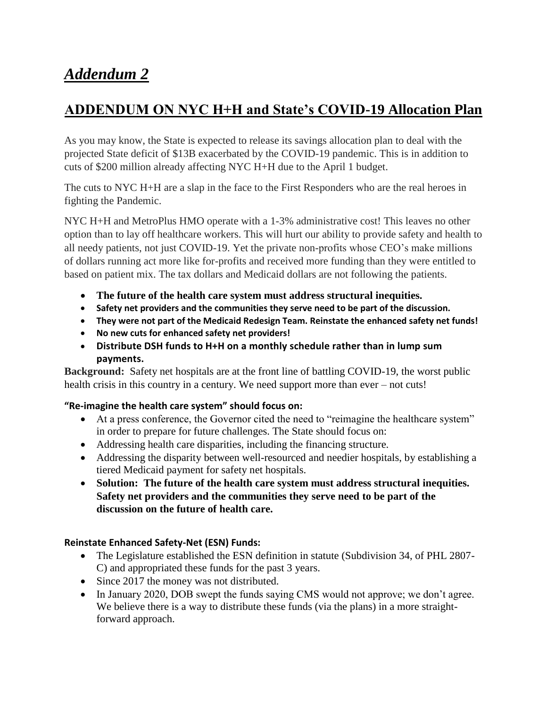# *Addendum 2*

# **ADDENDUM ON NYC H+H and State's COVID-19 Allocation Plan**

As you may know, the State is expected to release its savings allocation plan to deal with the projected State deficit of \$13B exacerbated by the COVID-19 pandemic. This is in addition to cuts of \$200 million already affecting NYC H+H due to the April 1 budget.

The cuts to NYC H+H are a slap in the face to the First Responders who are the real heroes in fighting the Pandemic.

NYC H+H and MetroPlus HMO operate with a 1-3% administrative cost! This leaves no other option than to lay off healthcare workers. This will hurt our ability to provide safety and health to all needy patients, not just COVID-19. Yet the private non-profits whose CEO's make millions of dollars running act more like for-profits and received more funding than they were entitled to based on patient mix. The tax dollars and Medicaid dollars are not following the patients.

- **The future of the health care system must address structural inequities.**
- **Safety net providers and the communities they serve need to be part of the discussion.**
- **They were not part of the Medicaid Redesign Team. Reinstate the enhanced safety net funds!**
- **No new cuts for enhanced safety net providers!**
- **Distribute DSH funds to H+H on a monthly schedule rather than in lump sum payments.**

**Background:** Safety net hospitals are at the front line of battling COVID-19, the worst public health crisis in this country in a century. We need support more than ever – not cuts!

### **"Re-imagine the health care system" should focus on:**

- At a press conference, the Governor cited the need to "reimagine the healthcare system" in order to prepare for future challenges. The State should focus on:
- Addressing health care disparities, including the financing structure.
- Addressing the disparity between well-resourced and needier hospitals, by establishing a tiered Medicaid payment for safety net hospitals.
- **Solution: The future of the health care system must address structural inequities. Safety net providers and the communities they serve need to be part of the discussion on the future of health care.**

### **Reinstate Enhanced Safety-Net (ESN) Funds:**

- The Legislature established the ESN definition in statute (Subdivision 34, of PHL 2807-C) and appropriated these funds for the past 3 years.
- Since 2017 the money was not distributed.
- In January 2020, DOB swept the funds saying CMS would not approve; we don't agree. We believe there is a way to distribute these funds (via the plans) in a more straightforward approach.